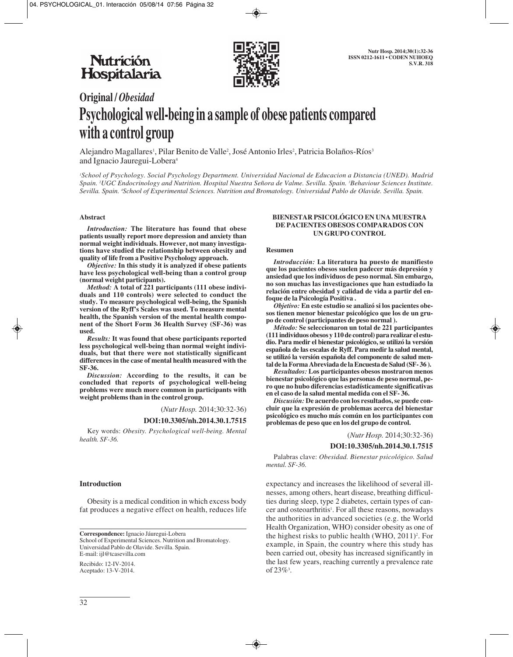

# **Original /** *Obesidad* **Psychological well-being in a sample of obese patients compared with a control group**

Alejandro Magallares<sup>1</sup>, Pilar Benito de Valle<sup>2</sup>, José Antonio Irles<sup>2</sup>, Patricia Bolaños-Ríos<sup>3</sup> and Ignacio Jauregui-Lobera4

*1 School of Psychology. Social Psychology Department. Universidad Nacional de Educacion a Distancia (UNED). Madrid Spain. 2 UGC Endocrinology and Nutrition. Hospital Nuestra Señora de Valme. Sevilla. Spain. 3 Behaviour Sciences Institute. Sevilla. Spain. 4 School of Experimental Sciences. Nutrition and Bromatology. Universidad Pablo de Olavide. Sevilla. Spain.*

### **Abstract**

*Introduction:* **The literature has found that obese patients usually report more depression and anxiety than normal weight individuals. However, not many investigations have studied the relationship between obesity and quality of life from a Positive Psychology approach.** 

*Objective:* **In this study it is analyzed if obese patients have less psychological well-being than a control group (normal weight participants).**

*Method:* **A total of 221 participants (111 obese individuals and 110 controls) were selected to conduct the study. To measure psychological well-being, the Spanish version of the Ryff's Scales was used. To measure mental health, the Spanish version of the mental health component of the Short Form 36 Health Survey (SF-36) was used.** 

*Results:* **It was found that obese participants reported less psychological well-being than normal weight individuals, but that there were not statistically significant differences in the case of mental health measured with the SF-36.** 

*Discussion:* **According to the results, it can be concluded that reports of psychological well-being problems were much more common in participants with weight problems than in the control group.**

(*Nutr Hosp.* 2014;30:32-36)

#### **DOI:10.3305/nh.2014.30.1.7515**

Key words: *Obesity. Psychological well-being. Mental health. SF-36.*

## **Introduction**

Obesity is a medical condition in which excess body fat produces a negative effect on health, reduces life

**Correspondence:** Ignacio Jáuregui-Lobera School of Experimental Sciences. Nutrition and Bromatology. Universidad Pablo de Olavide. Sevilla. Spain. E-mail: ijl@tcasevilla.com

Recibido: 12-IV-2014. Aceptado: 13-V-2014.

#### **BIENESTAR PSICOLÓGICO EN UNA MUESTRA DE PACIENTES OBESOS COMPARADOS CON UN GRUPO CONTROL**

#### **Resumen**

*Introducción:* **La literatura ha puesto de manifiesto que los pacientes obesos suelen padecer más depresión y ansiedad que los individuos de peso normal. Sin embargo, no son muchas las investigaciones que han estudiado la relación entre obesidad y calidad de vida a partir del enfoque de la Psicología Positiva .**

*Objetivo:* **En este estudio se analizó si los pacientes obesos tienen menor bienestar psicológico que los de un grupo de control (participantes de peso normal ).**

*Método:* **Se seleccionaron un total de 221 participantes (111 individuos obesos y 110 de control) para realizar el estudio. Para medir el bienestar psicológico, se utilizó la versión española de las escalas de Ryff. Para medir la salud mental, se utilizó la versión española del componente de salud mental de la Forma Abreviada de la Encuesta de Salud (SF- 36 ).**

*Resultados:* **Los participantes obesos mostraron menos bienestar psicológico que las personas de peso normal, pero que no hubo diferencias estadísticamente significativas en el caso de la salud mental medida con el SF- 36.**

*Discusión:* **De acuerdo con los resultados, se puede concluir que la expresión de problemas acerca del bienestar psicológico es mucho más común en los participantes con problemas de peso que en los del grupo de control.**

(*Nutr Hosp.* 2014;30:32-36)

#### **DOI:10.3305/nh.2014.30.1.7515**

Palabras clave: *Obesidad. Bienestar psicológico. Salud mental. SF-36.*

expectancy and increases the likelihood of several illnesses, among others, heart disease, breathing difficulties during sleep, type 2 diabetes, certain types of cancer and osteoarthritis<sup>1</sup>. For all these reasons, nowadays the authorities in advanced societies (e.g. the World Health Organization, WHO) consider obesity as one of the highest risks to public health  $(WHO, 2011)^2$ . For example, in Spain, the country where this study has been carried out, obesity has increased significantly in the last few years, reaching currently a prevalence rate of  $23\%$ <sup>3</sup>.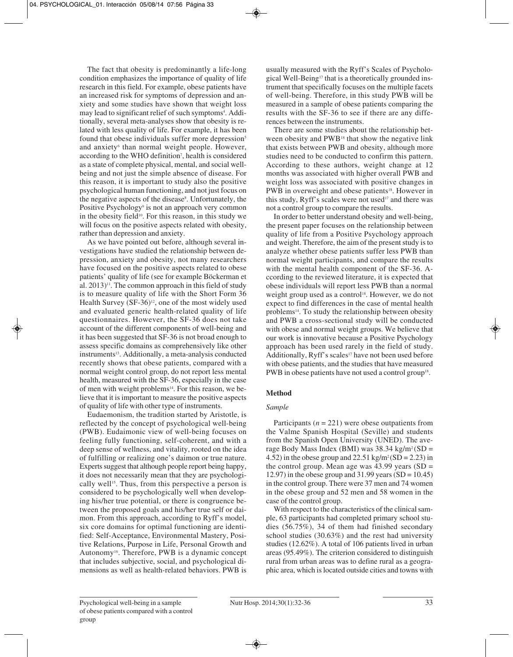The fact that obesity is predominantly a life-long condition emphasizes the importance of quality of life research in this field. For example, obese patients have an increased risk for symptoms of depression and anxiety and some studies have shown that weight loss may lead to significant relief of such symptoms<sup>4</sup>. Additionally, several meta-analyses show that obesity is related with less quality of life. For example, it has been found that obese individuals suffer more depression<sup>5</sup> and anxiety<sup>6</sup> than normal weight people. However, according to the WHO definition7 , health is considered as a state of complete physical, mental, and social wellbeing and not just the simple absence of disease. For this reason, it is important to study also the positive psychological human functioning, and not just focus on the negative aspects of the disease<sup>8</sup>. Unfortunately, the Positive Psychology<sup>9</sup> is not an approach very common in the obesity field<sup>10</sup>. For this reason, in this study we will focus on the positive aspects related with obesity, rather than depression and anxiety.

As we have pointed out before, although several investigations have studied the relationship between depression, anxiety and obesity, not many researchers have focused on the positive aspects related to obese patients' quality of life (see for example Böckerman et al.  $2013$ <sup>11</sup>. The common approach in this field of study is to measure quality of life with the Short Form 36 Health Survey  $(SF-36)^{12}$ , one of the most widely used and evaluated generic health-related quality of life questionnaires. However, the SF-36 does not take account of the different components of well-being and it has been suggested that SF-36 is not broad enough to assess specific domains as comprehensively like other instruments<sup>13</sup>. Additionally, a meta-analysis conducted recently shows that obese patients, compared with a normal weight control group, do not report less mental health, measured with the SF-36, especially in the case of men with weight problems<sup>14</sup>. For this reason, we believe that it is important to measure the positive aspects of quality of life with other type of instruments.

Eudaemonism, the tradition started by Aristotle, is reflected by the concept of psychological well-being (PWB). Eudaimonic view of well-being focuses on feeling fully functioning, self-coherent, and with a deep sense of wellness, and vitality, rooted on the idea of fulfilling or realizing one's daimon or true nature. Experts suggest that although people report being happy, it does not necessarily mean that they are psychologically well<sup>15</sup>. Thus, from this perspective a person is considered to be psychologically well when developing his/her true potential, or there is congruence between the proposed goals and his/her true self or daimon. From this approach, according to Ryff's model, six core domains for optimal functioning are identified: Self-Acceptance, Environmental Mastery, Positive Relations, Purpose in Life, Personal Growth and Autonomy16. Therefore, PWB is a dynamic concept that includes subjective, social, and psychological dimensions as well as health-related behaviors. PWB is usually measured with the Ryff's Scales of Psychological Well-Being<sup>17</sup> that is a theoretically grounded instrument that specifically focuses on the multiple facets of well-being. Therefore, in this study PWB will be measured in a sample of obese patients comparing the results with the SF-36 to see if there are any differences between the instruments.

There are some studies about the relationship between obesity and PWB18 that show the negative link that exists between PWB and obesity, although more studies need to be conducted to confirm this pattern. According to these authors, weight change at 12 months was associated with higher overall PWB and weight loss was associated with positive changes in PWB in overweight and obese patients<sup>18</sup>. However in this study, Ryff's scales were not used<sup>17</sup> and there was not a control group to compare the results.

In order to better understand obesity and well-being, the present paper focuses on the relationship between quality of life from a Positive Psychology approach and weight. Therefore, the aim of the present study is to analyze whether obese patients suffer less PWB than normal weight participants, and compare the results with the mental health component of the SF-36. According to the reviewed literature, it is expected that obese individuals will report less PWB than a normal weight group used as a control<sup>18</sup>. However, we do not expect to find differences in the case of mental health problems<sup>14</sup>. To study the relationship between obesity and PWB a cross-sectional study will be conducted with obese and normal weight groups. We believe that our work is innovative because a Positive Psychology approach has been used rarely in the field of study. Additionally, Ryff's scales<sup>17</sup> have not been used before with obese patients, and the studies that have measured PWB in obese patients have not used a control group<sup>18</sup>.

# **Method**

# *Sample*

Participants  $(n = 221)$  were obese outpatients from the Valme Spanish Hospital (Seville) and students from the Spanish Open University (UNED). The ave rage Body Mass Index (BMI) was  $38.34 \text{ kg/m}^2(\text{SD} =$ 4.52) in the obese group and  $22.51 \text{ kg/m}^2(\text{SD} = 2.23)$  in the control group. Mean age was  $43.99$  years (SD = 12.97) in the obese group and 31.99 years  $(SD = 10.45)$ in the control group. There were 37 men and 74 women in the obese group and 52 men and 58 women in the case of the control group.

With respect to the characteristics of the clinical sample, 63 participants had completed primary school studies (56.75%), 34 of them had finished secondary school studies (30.63%) and the rest had university studies (12.62%). A total of 106 patients lived in urban areas (95.49%). The criterion considered to distinguish rural from urban areas was to define rural as a geographic area, which is located outside cities and towns with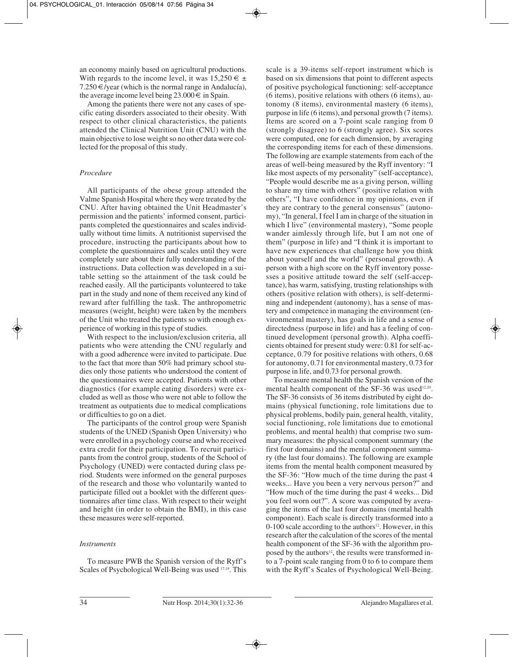an economy mainly based on agricultural productions. With regards to the income level, it was  $15.250 \in \pm$  $7.250 \in$ /year (which is the normal range in Andalucía), the average income level being  $23.000 \in \text{in Spain}.$ 

Among the patients there were not any cases of specific eating disorders associated to their obesity. With respect to other clinical characteristics, the patients attended the Clinical Nutrition Unit (CNU) with the main objective to lose weight so no other data were collected for the proposal of this study.

# *Procedure*

All participants of the obese group attended the Valme Spanish Hospital where they were treated by the CNU. After having obtained the Unit Headmaster's permission and the patients' informed consent, participants completed the questionnaires and scales individually without time limits. A nutritionist supervised the procedure, instructing the participants about how to complete the questionnaires and scales until they were completely sure about their fully understanding of the instructions. Data collection was developed in a sui table setting so the attainment of the task could be reached easily. All the participants volunteered to take part in the study and none of them received any kind of reward after fulfilling the task. The anthropometric measures (weight, height) were taken by the members of the Unit who treated the patients so with enough experience of working in this type of studies.

With respect to the inclusion/exclusion criteria, all patients who were attending the CNU regularly and with a good adherence were invited to participate. Due to the fact that more than 50% had primary school studies only those patients who understood the content of the questionnaires were accepted. Patients with other diagnostics (for example eating disorders) were excluded as well as those who were not able to follow the treatment as outpatients due to medical complications or difficulties to go on a diet.

The participants of the control group were Spanish students of the UNED (Spanish Open University) who were enrolled in a psychology course and who received extra credit for their participation. To recruit participants from the control group, students of the School of Psychology (UNED) were contacted during class period. Students were informed on the general purposes of the research and those who voluntarily wanted to participate filled out a booklet with the different questionnaires after time class. With respect to their weight and height (in order to obtain the BMI), in this case these measures were self-reported.

# *Instruments*

To measure PWB the Spanish version of the Ryff's Scales of Psychological Well-Being was used 17,19. This scale is a 39-items self-report instrument which is based on six dimensions that point to different aspects of positive psychological functioning: self-acceptance (6 items), positive relations with others (6 items), autonomy (8 items), environmental mastery (6 items), purpose in life (6 items), and personal growth (7 items). Items are scored on a 7-point scale ranging from 0 (strongly disagree) to 6 (strongly agree). Six scores were computed, one for each dimension, by averaging the corresponding items for each of these dimensions. The following are example statements from each of the areas of well-being measured by the Ryff inventory: "I like most aspects of my personality" (self-acceptance), "People would describe me as a giving person, willing to share my time with others" (positive relation with others", "I have confidence in my opinions, even if they are contrary to the general consensus" (autonomy), "In general, I feel I am in charge of the situation in which I live" (environmental mastery), "Some people wander aimlessly through life, but I am not one of them" (purpose in life) and "I think it is important to have new experiences that challenge how you think about yourself and the world" (personal growth). A person with a high score on the Ryff inventory posse sses a positive attitude toward the self (self-acceptance), has warm, satisfying, trusting relationships with others (positive relation with others), is self-determi ning and independent (autonomy), has a sense of mastery and competence in managing the environment (environmental mastery), has goals in life and a sense of directedness (purpose in life) and has a feeling of continued development (personal growth). Alpha coefficients obtained for present study were: 0.81 for self-acceptance, 0.79 for positive relations with others, 0.68 for autonomy, 0.71 for environmental mastery, 0.73 for purpose in life, and 0.73 for personal growth.

To measure mental health the Spanish version of the mental health component of the SF-36 was used<sup>12,20</sup>. The SF-36 consists of 36 items distributed by eight domains (physical functioning, role limitations due to physical problems, bodily pain, general health, vitality, social functioning, role limitations due to emotional problems, and mental health) that comprise two summary measures: the physical component summary (the first four domains) and the mental component summary (the last four domains). The following are example items from the mental health component measured by the SF-36: "How much of the time during the past 4 weeks... Have you been a very nervous person?" and "How much of the time during the past 4 weeks... Did you feel worn out?". A score was computed by averaging the items of the last four domains (mental health component). Each scale is directly transformed into a  $0-100$  scale according to the authors<sup>12</sup>. However, in this research after the calculation of the scores of the mental health component of the SF-36 with the algorithm proposed by the authors<sup>12</sup>, the results were transformed into a 7-point scale ranging from 0 to 6 to compare them with the Ryff's Scales of Psychological Well-Being.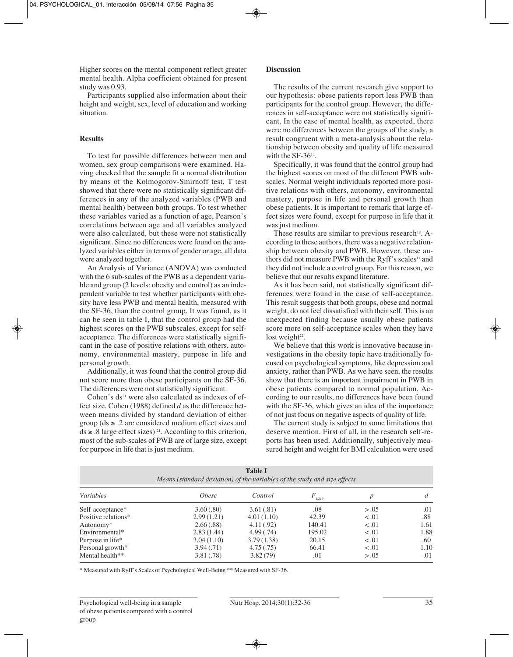Higher scores on the mental component reflect greater mental health. Alpha coefficient obtained for present study was 0.93.

Participants supplied also information about their height and weight, sex, level of education and working situation.

## **Results**

To test for possible differences between men and women, sex group comparisons were examined. Having checked that the sample fit a normal distribution by means of the Kolmogorov-Smirnoff test, T test showed that there were no statistically significant differences in any of the analyzed variables (PWB and mental health) between both groups. To test whether these variables varied as a function of age, Pearson's correlations between age and all variables analyzed were also calculated, but these were not statistically significant. Since no differences were found on the analyzed variables either in terms of gender or age, all data were analyzed together.

An Analysis of Variance (ANOVA) was conducted with the 6 sub-scales of the PWB as a dependent variable and group (2 levels: obesity and control) as an independent variable to test whether participants with obesity have less PWB and mental health, measured with the SF-36, than the control group. It was found, as it can be seen in table I, that the control group had the highest scores on the PWB subscales, except for selfacceptance. The differences were statistically significant in the case of positive relations with others, autonomy, environmental mastery, purpose in life and personal growth.

Additionally, it was found that the control group did not score more than obese participants on the SF-36. The differences were not statistically significant.

Cohen's  $ds<sup>21</sup>$  were also calculated as indexes of effect size. Cohen (1988) defined *d* as the difference bet ween means divided by standard deviation of either group ( $ds \geq 0.2$  are considered medium effect sizes and  $ds \geq .8$  large effect sizes)<sup>21</sup>. According to this criterion, most of the sub-scales of PWB are of large size, except for purpose in life that is just medium.

## **Discussion**

The results of the current research give support to our hypothesis: obese patients report less PWB than participants for the control group. However, the differences in self-acceptance were not statistically significant. In the case of mental health, as expected, there were no differences between the groups of the study, a result congruent with a meta-analysis about the relationship between obesity and quality of life measured with the SF-36<sup>14</sup>.

Specifically, it was found that the control group had the highest scores on most of the different PWB subscales. Normal weight individuals reported more positive relations with others, autonomy, environmental mastery, purpose in life and personal growth than obese patients. It is important to remark that large effect sizes were found, except for purpose in life that it was just medium.

These results are similar to previous research<sup>18</sup>. According to these authors, there was a negative relationship between obesity and PWB. However, these authors did not measure PWB with the Ryff's scales<sup>17</sup> and they did not include a control group. For this reason, we believe that our results expand literature.

As it has been said, not statistically significant differences were found in the case of self-acceptance. This result suggests that both groups, obese and normal weight, do not feel dissatisfied with their self. This is an unexpected finding because usually obese patients score more on self-acceptance scales when they have  $lost weight<sup>22</sup>$ .

We believe that this work is innovative because investigations in the obesity topic have traditionally focused on psychological symptoms, like depression and anxiety, rather than PWB. As we have seen, the results show that there is an important impairment in PWB in obese patients compared to normal population. According to our results, no differences have been found with the SF-36, which gives an idea of the importance of not just focus on negative aspects of quality of life.

The current study is subject to some limitations that deserve mention. First of all, in the research self-reports has been used. Additionally, subjectively measured height and weight for BMI calculation were used

| <b>Table I</b><br>Means (standard deviation) of the variables of the study and size effects |                     |            |                |       |        |
|---------------------------------------------------------------------------------------------|---------------------|------------|----------------|-------|--------|
| Variables                                                                                   | <i><b>Obese</b></i> | Control    | $F_{_{1,219}}$ | p     |        |
| Self-acceptance*                                                                            | 3.60(.80)           | 3.61(.81)  | .08            | > .05 | $-.01$ |
| Positive relations*                                                                         | 2.99(1.21)          | 4.01(1.10) | 42.39          | < .01 | .88    |
| Autonomy*                                                                                   | 2.66(.88)           | 4.11(.92)  | 140.41         | < .01 | 1.61   |
| Environmental*                                                                              | 2.83(1.44)          | 4.99(0.74) | 195.02         | < .01 | 1.88   |
| Purpose in life*                                                                            | 3.04(1.10)          | 3.79(1.38) | 20.15          | < .01 | .60    |
| Personal growth*                                                                            | 3.94(.71)           | 4.75(.75)  | 66.41          | < .01 | 1.10   |
| Mental health**                                                                             | 3.81(.78)           | 3.82(79)   | .01            | > .05 | $-.01$ |

\* Measured with Ryff's Scales of Psychological Well-Being \*\* Measured with SF-36.